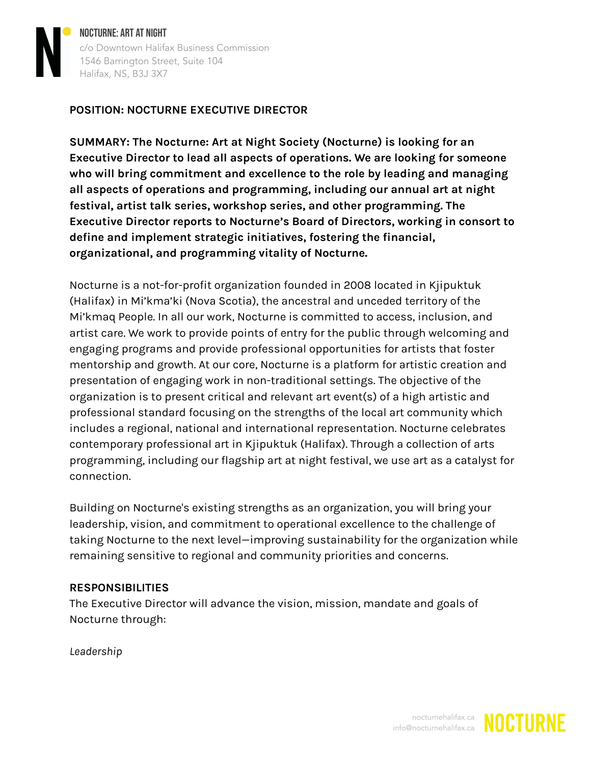

NOCTURNE: ART AT NIGHT c/o Downtown Halifax Business Commission 1546 Barrington Street, Suite 104 Halifax, NS, B3J 3X7

## **POSITION: NOCTURNE EXECUTIVE DIRECTOR**

**SUMMARY: The Nocturne: Art at Night Society (Nocturne) is looking for an Executive Director to lead all aspects of operations. We are looking for someone who will bring commitment and excellence to the role by leading and managing all aspects of operations and programming, including our annual art at night festival, artist talk series, workshop series, and other programming. The Executive Director reports to Nocturne's Board of Directors, working in consort to define and implement strategic initiatives, fostering the financial, organizational, and programming vitality of Nocturne.**

Nocturne is a not-for-profit organization founded in 2008 located in Kjipuktuk (Halifax) in Mi'kma'ki (Nova Scotia), the ancestral and unceded territory of the Mi'kmaq People. In all our work, Nocturne is committed to access, inclusion, and artist care. We work to provide points of entry for the public through welcoming and engaging programs and provide professional opportunities for artists that foster mentorship and growth. At our core, Nocturne is a platform for artistic creation and presentation of engaging work in non-traditional settings. The objective of the organization is to present critical and relevant art event(s) of a high artistic and professional standard focusing on the strengths of the local art community which includes a regional, national and international representation. Nocturne celebrates contemporary professional art in Kjipuktuk (Halifax). Through a collection of arts programming, including our flagship art at night festival, we use art as a catalyst for connection.

Building on Nocturne's existing strengths as an organization, you will bring your leadership, vision, and commitment to operational excellence to the challenge of taking Nocturne to the next level—improving sustainability for the organization while remaining sensitive to regional and community priorities and concerns.

#### **RESPONSIBILITIES**

The Executive Director will advance the vision, mission, mandate and goals of Nocturne through:

*Leadership*

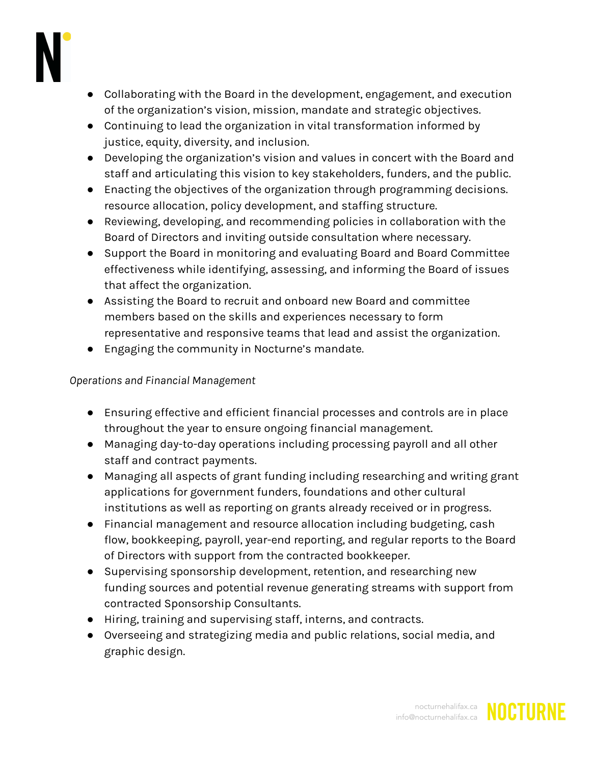

- Collaborating with the Board in the development, engagement, and execution of the organization's vision, mission, mandate and strategic objectives.
- Continuing to lead the organization in vital transformation informed by justice, equity, diversity, and inclusion.
- Developing the organization's vision and values in concert with the Board and staff and articulating this vision to key stakeholders, funders, and the public.
- Enacting the objectives of the organization through programming decisions. resource allocation, policy development, and staffing structure.
- Reviewing, developing, and recommending policies in collaboration with the Board of Directors and inviting outside consultation where necessary.
- Support the Board in monitoring and evaluating Board and Board Committee effectiveness while identifying, assessing, and informing the Board of issues that affect the organization.
- Assisting the Board to recruit and onboard new Board and committee members based on the skills and experiences necessary to form representative and responsive teams that lead and assist the organization.
- Engaging the community in Nocturne's mandate.

# *Operations and Financial Management*

- Ensuring effective and efficient financial processes and controls are in place throughout the year to ensure ongoing financial management.
- Managing day-to-day operations including processing payroll and all other staff and contract payments.
- Managing all aspects of grant funding including researching and writing grant applications for government funders, foundations and other cultural institutions as well as reporting on grants already received or in progress.
- Financial management and resource allocation including budgeting, cash flow, bookkeeping, payroll, year-end reporting, and regular reports to the Board of Directors with support from the contracted bookkeeper.
- Supervising sponsorship development, retention, and researching new funding sources and potential revenue generating streams with support from contracted Sponsorship Consultants.
- Hiring, training and supervising staff, interns, and contracts.
- Overseeing and strategizing media and public relations, social media, and graphic design.

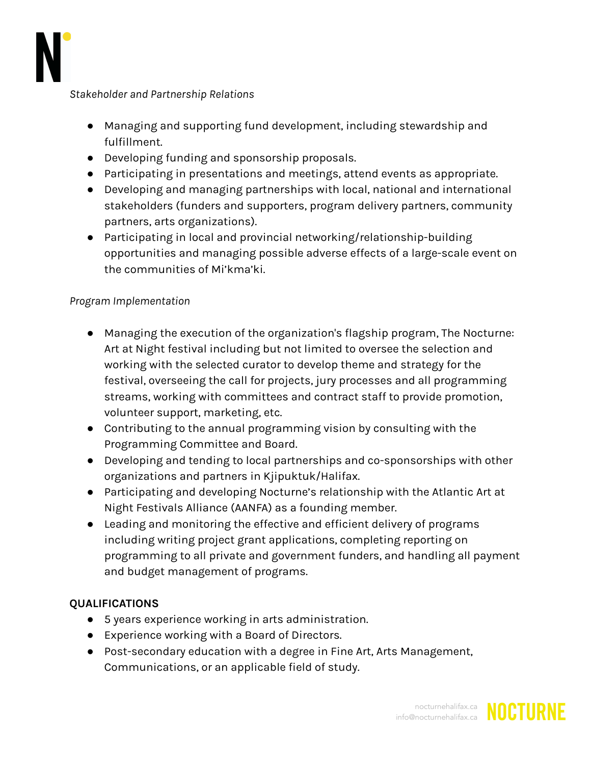

*Stakeholder and Partnership Relations*

- Managing and supporting fund development, including stewardship and fulfillment.
- Developing funding and sponsorship proposals.
- Participating in presentations and meetings, attend events as appropriate.
- Developing and managing partnerships with local, national and international stakeholders (funders and supporters, program delivery partners, community partners, arts organizations).
- Participating in local and provincial networking/relationship-building opportunities and managing possible adverse effects of a large-scale event on the communities of Mi'kma'ki.

### *Program Implementation*

- Managing the execution of the organization's flagship program, The Nocturne: Art at Night festival including but not limited to oversee the selection and working with the selected curator to develop theme and strategy for the festival, overseeing the call for projects, jury processes and all programming streams, working with committees and contract staff to provide promotion, volunteer support, marketing, etc.
- Contributing to the annual programming vision by consulting with the Programming Committee and Board.
- Developing and tending to local partnerships and co-sponsorships with other organizations and partners in Kjipuktuk/Halifax.
- Participating and developing Nocturne's relationship with the Atlantic Art at Night Festivals Alliance (AANFA) as a founding member.
- Leading and monitoring the effective and efficient delivery of programs including writing project grant applications, completing reporting on programming to all private and government funders, and handling all payment and budget management of programs.

#### **QUALIFICATIONS**

- 5 years experience working in arts administration.
- Experience working with a Board of Directors.
- Post-secondary education with a degree in Fine Art, Arts Management, Communications, or an applicable field of study.



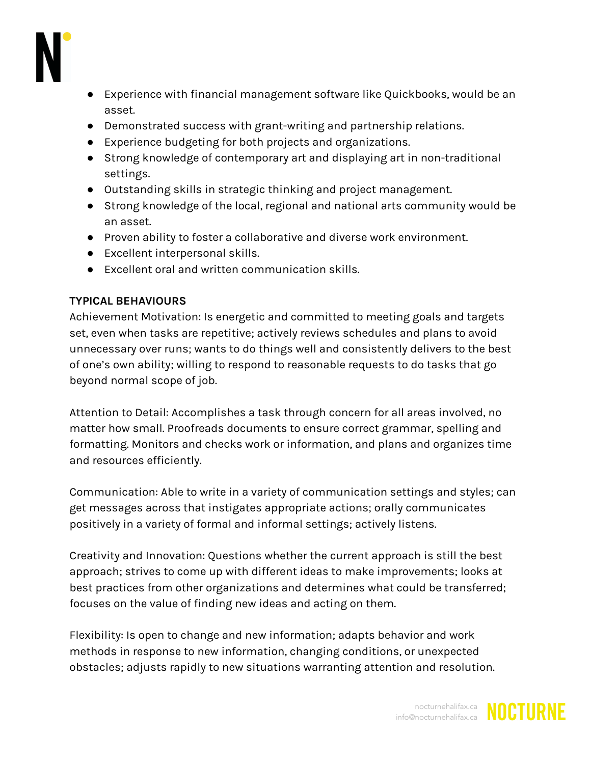

- Experience with financial management software like Quickbooks, would be an asset.
- Demonstrated success with grant-writing and partnership relations.
- Experience budgeting for both projects and organizations.
- Strong knowledge of contemporary art and displaying art in non-traditional settings.
- Outstanding skills in strategic thinking and project management.
- Strong knowledge of the local, regional and national arts community would be an asset.
- Proven ability to foster a collaborative and diverse work environment.
- Excellent interpersonal skills.
- Excellent oral and written communication skills.

# **TYPICAL BEHAVIOURS**

Achievement Motivation: Is energetic and committed to meeting goals and targets set, even when tasks are repetitive; actively reviews schedules and plans to avoid unnecessary over runs; wants to do things well and consistently delivers to the best of one's own ability; willing to respond to reasonable requests to do tasks that go beyond normal scope of job.

Attention to Detail: Accomplishes a task through concern for all areas involved, no matter how small. Proofreads documents to ensure correct grammar, spelling and formatting. Monitors and checks work or information, and plans and organizes time and resources efficiently.

Communication: Able to write in a variety of communication settings and styles; can get messages across that instigates appropriate actions; orally communicates positively in a variety of formal and informal settings; actively listens.

Creativity and Innovation: Questions whether the current approach is still the best approach; strives to come up with different ideas to make improvements; looks at best practices from other organizations and determines what could be transferred; focuses on the value of finding new ideas and acting on them.

Flexibility: Is open to change and new information; adapts behavior and work methods in response to new information, changing conditions, or unexpected obstacles; adjusts rapidly to new situations warranting attention and resolution.